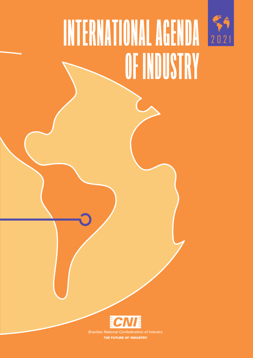

## INTERNATIONAL AGENDA 202 OF INDUSTRY



THE FUTURE OF INDUSTRY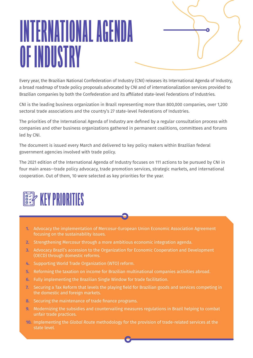## INTERNATIONAL AGENDA OF INDUSTRY

Every year, the Brazilian National Confederation of Industry (CNI) releases its International Agenda of Industry, a broad roadmap of trade policy proposals advocated by CNI and of internationalization services provided to Brazilian companies by both the Confederation and its affiliated state-level Federations of Industries.

CNI is the leading business organization in Brazil representing more than 800,000 companies, over 1,200 sectoral trade associations and the country's 27 state-level Federations of Industries.

The priorities of the International Agenda of Industry are defined by a regular consultation process with companies and other business organizations gathered in permanent coalitions, committees and forums led by CNI.

The document is issued every March and delivered to key policy makers within Brazilian federal government agencies involved with trade policy.

The 2021 edition of the International Agenda of Industry focuses on 111 actions to be pursued by CNI in four main areas—trade policy advocacy, trade promotion services, strategic markets, and international cooperation. Out of them, 10 were selected as key priorities for the year.



- **1.** Advocacy the implementation of Mercosur-European Union Economic Association Agreement focusing on the sustainability issues.
- **2.** Strengthening Mercosur through a more ambitious economic integration agenda.
- **3.** Advocacy Brazil's accession to the Organization for Economic Cooperation and Development (OECD) through domestic reforms.
- **4.** Supporting World Trade Organization (WTO) reform.
- **5.** Reforming the taxation on income for Brazilian multinational companies activities abroad.
- **6.** Fully implementing the Brazilian Single Window for trade facilitation.
- **7.** Securing a Tax Reform that levels the playing field for Brazilian goods and services competing in the domestic and foreign markets.
- **8.** Securing the maintenance of trade finance programs.
- **9.** Modernizing the subsidies and countervailing measures regulations in Brazil helping to combat unfair trade practices.
- **10.** Implementing the *Global Rout*e methodology for the provision of trade-related services at the state level.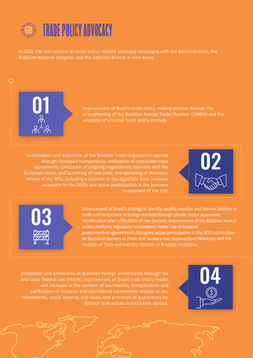

In 2020, CNI will conduct 82 trade policy-related advocacy campaigns with the Administration, the Brazilian National Congress and the Judiciary Branch in nine areas:



**01** Improvement of Brazil's trade policy-making process through the strengthening of the Brazilian Foreign Trade Chamber (CAMEX) and the adoption of a formal trade policy strategy.

Continuation and expansion of the Brazilian trade negotiations agenda through increased transparency; ratification of concluded trade agreements; conclusion of ongoing negotiations, specially with the European Union, and launching of new ones; strengthening of Mercosur; reform of the WTO, including a solution to the Appellate Body impasse; accession to the OECD; and active participation in the business component of the G20.





Advancement of Brazil's strategy to identify, qualify, monitor and remove barriers to trade and investment in foreign markets through private sector awareness; identification and notification of new barriers; improvement of the Brazilian market access platform; regulatory cooperation; better use of bilateral government-to-government dialogues; active participation in the WTO Committees on Technical Barriers to Trade and Sanitary and Phytosanitary Measures; and the creation of Trade and Industry Attachés in Brazilian Embassies.

Protection and promotion of Brazilian foreign investments through tax and labor federal law reform; improvement of Brazil´s tax treaty model and increase in the number of tax treaties, renegotiation and ratification of bilateral and plurilateral agreements related to tax, investments, social security and visas; and provision of guarantees for finance to Brazilian investments abroad.

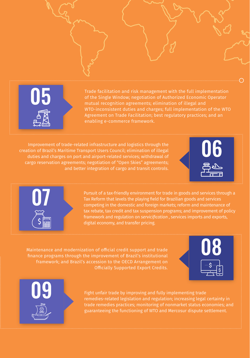05

Trade facilitation and risk management with the full implementation of the Single Window; negotiation of Authorized Economic Operator mutual recognition agreements; elimination of illegal and WTO-inconsistent duties and charges; full implementation of the WTO Agreement on Trade Facilitation; best regulatory practices; and an enabling e-commerce framework.

Improvement of trade-related infrastructure and logistics through the creation of Brazil's Maritime Transport Users Council; elimination of illegal duties and charges on port and airport-related services; withdrawal of cargo reservation agreements; negotiation of "Open Skies" agreements; and better integration of cargo and transit controls.





Pursuit of a tax-friendly environment for trade in goods and services through a Tax Reform that levels the playing field for Brazilian goods and services competing in the domestic and foreign markets; reform and maintenance of tax rebate, tax credit and tax suspension programs; and improvement of policy framework and regulation on *servicification* , services imports and exports, digital economy, and transfer pricing.

Maintenance and modernization of official credit support and trade finance programs through the improvement of Brazil's institutional framework; and Brazil's accession to the OECD Arrangement on Officially Supported Export Credits.





Fight unfair trade by improving and fully implementing trade remedies-related legislation and regulation; increasing legal certainty in trade remedies practices; monitoring of nonmarket status economies; and guaranteeing the functioning of WTO and Mercosur dispute settlement.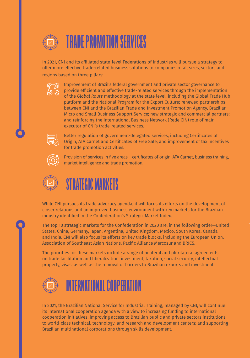

In 2021, CNI and its affiliated state-level Federations of Industries will pursue a strategy to offer more effective trade-related business solutions to companies of all sizes, sectors and regions based on three pillars:



Improvement of Brazil's federal government and private sector governance to provide efficient and effective trade-related services through the implementation of the *Global Route* methodology at the state level, including the Global Trade Hub platform and the National Program for the Export Culture; renewed partnerships between CNI and the Brazilian Trade and Investment Promotion Agency, Brazilian Micro and Small Business Support Service; new strategic and commercial partners; and reinforcing the International Business Network (Rede CIN) role of main executor of CNI's trade-related services.



Better regulation of government-delegated services, including Certificates of Origin, ATA Carnet and Certificates of Free Sale; and improvement of tax incentives for trade promotion activities.



Provision of services in five areas – certificates of origin, ATA Carnet, business training, market intelligence and trade promotion.



## STRATEGIC MARKETS

While CNI pursues its trade advocacy agenda, it will focus its efforts on the development of closer relations and an improved business environment with key markets for the Brazilian industry identified in the Confederation's Strategic Market Index.

The top 10 strategic markets for the Confederation in 2020 are, in the following order—United States, China, Germany, Japan, Argentina, United Kingdom, Mexico, South Korea, Canada and India. CNI will also focus its efforts on key trade blocks, including the European Union, Association of Southeast Asian Nations, Pacific Alliance Mercosur and BRICS.

The priorities for these markets include a range of bilateral and plurilateral agreements on trade facilitation and liberalization, investment, taxation, social security, intellectual property, visas; as well as the removal of barriers to Brazilian exports and investment.



## INTERNATIONAL COOPERATION

In 2021, the Brazilian National Service for Industrial Training, managed by CNI, will continue its international cooperation agenda with a view to increasing funding to international cooperation initiatives; improving access to Brazilian public and private sectors institutions to world-class technical, technology, and research and development centers; and supporting Brazilian multinational corporations through skills development.